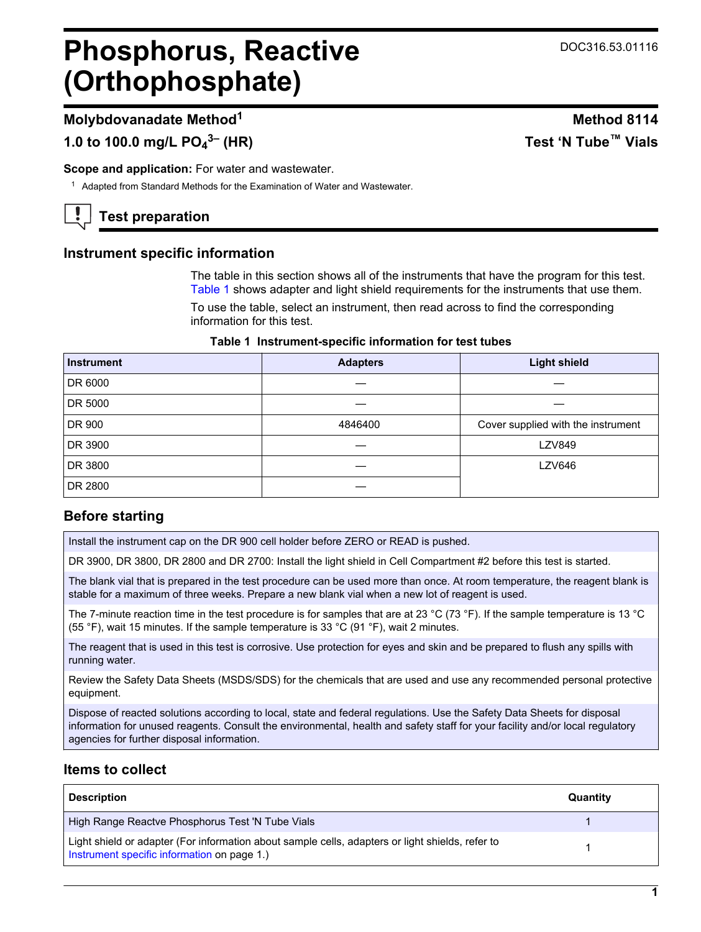# **Phosphorus, Reactive (Orthophosphate)**

# **Molybdovanadate Method<sup>1</sup> Method 8114**

**1.0 to 100.0 mg/L PO<sup>4</sup>**

**Scope and application:** For water and wastewater.

<sup>1</sup> Adapted from Standard Methods for the Examination of Water and Wastewater.

**Test preparation**

# **Instrument specific information**

The table in this section shows all of the instruments that have the program for this test. [Table 1](#page-0-0) shows adapter and light shield requirements for the instruments that use them.

To use the table, select an instrument, then read across to find the corresponding information for this test.

# **Table 1 Instrument-specific information for test tubes**

<span id="page-0-1"></span><span id="page-0-0"></span>

| <b>Instrument</b> | <b>Adapters</b> | <b>Light shield</b>                |
|-------------------|-----------------|------------------------------------|
| DR 6000           |                 |                                    |
| DR 5000           |                 |                                    |
| DR 900            | 4846400         | Cover supplied with the instrument |
| DR 3900           |                 | <b>LZV849</b>                      |
| DR 3800           |                 | <b>LZV646</b>                      |
| DR 2800           |                 |                                    |

# **Before starting**

Install the instrument cap on the DR 900 cell holder before ZERO or READ is pushed.

DR 3900, DR 3800, DR 2800 and DR 2700: Install the light shield in Cell Compartment #2 before this test is started.

The blank vial that is prepared in the test procedure can be used more than once. At room temperature, the reagent blank is stable for a maximum of three weeks. Prepare a new blank vial when a new lot of reagent is used.

The 7-minute reaction time in the test procedure is for samples that are at 23 °C (73 °F). If the sample temperature is 13 °C (55 °F), wait 15 minutes. If the sample temperature is 33 °C (91 °F), wait 2 minutes.

The reagent that is used in this test is corrosive. Use protection for eyes and skin and be prepared to flush any spills with running water.

Review the Safety Data Sheets (MSDS/SDS) for the chemicals that are used and use any recommended personal protective equipment.

Dispose of reacted solutions according to local, state and federal regulations. Use the Safety Data Sheets for disposal information for unused reagents. Consult the environmental, health and safety staff for your facility and/or local regulatory agencies for further disposal information.

# **Items to collect**

| <b>Description</b>                                                                                                                              | Quantity |
|-------------------------------------------------------------------------------------------------------------------------------------------------|----------|
| High Range Reactve Phosphorus Test 'N Tube Vials                                                                                                |          |
| Light shield or adapter (For information about sample cells, adapters or light shields, refer to<br>Instrument specific information on page 1.) |          |

# **3– (HR) Test 'N Tube™ Vials**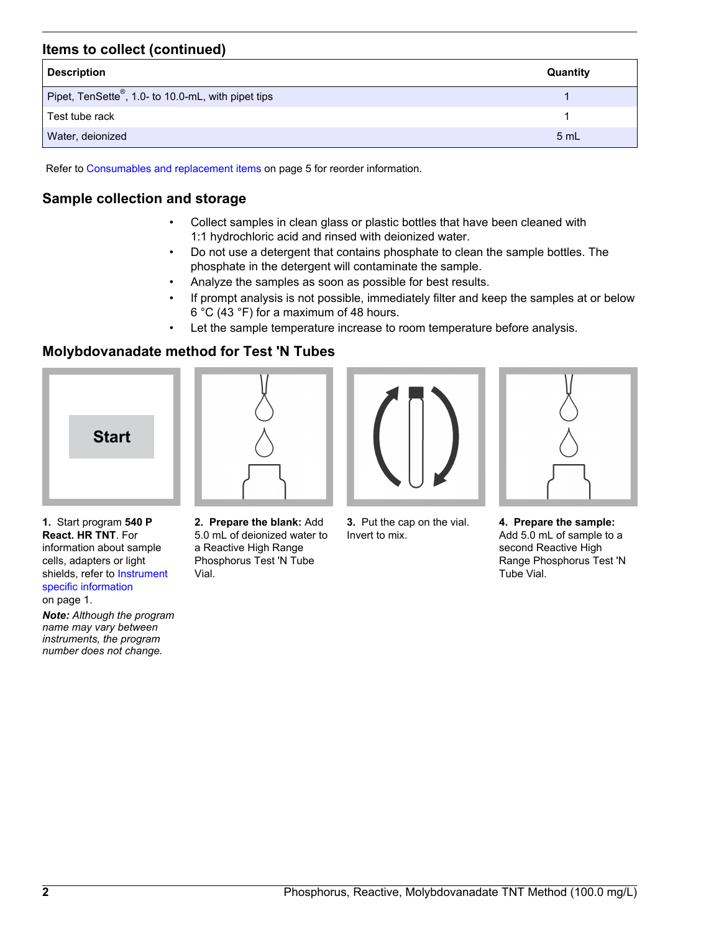# **Items to collect (continued)**

| <b>Description</b>                                              | Quantity |
|-----------------------------------------------------------------|----------|
| Pipet, TenSette <sup>®</sup> , 1.0- to 10.0-mL, with pipet tips |          |
| Test tube rack                                                  |          |
| Water, deionized                                                | 5 mL     |

Refer to [Consumables and replacement items](#page-4-0) on page 5 for reorder information.

# **Sample collection and storage**

- Collect samples in clean glass or plastic bottles that have been cleaned with 1:1 hydrochloric acid and rinsed with deionized water.
- Do not use a detergent that contains phosphate to clean the sample bottles. The phosphate in the detergent will contaminate the sample.
- Analyze the samples as soon as possible for best results.
- If prompt analysis is not possible, immediately filter and keep the samples at or below 6 °C (43 °F) for a maximum of 48 hours.
- Let the sample temperature increase to room temperature before analysis.

# **Molybdovanadate method for Test 'N Tubes**





**1.** Start program **540 P React. HR TNT**. For information about sample cells, adapters or light shields, refer to [Instrument](#page-0-1) [specific information](#page-0-1) on page 1.

*Note: Although the program name may vary between instruments, the program number does not change.*

**2. Prepare the blank:** Add 5.0 mL of deionized water to a Reactive High Range Phosphorus Test 'N Tube Vial.



**3.** Put the cap on the vial. Invert to mix.



**4. Prepare the sample:** Add 5.0 mL of sample to a second Reactive High Range Phosphorus Test 'N Tube Vial.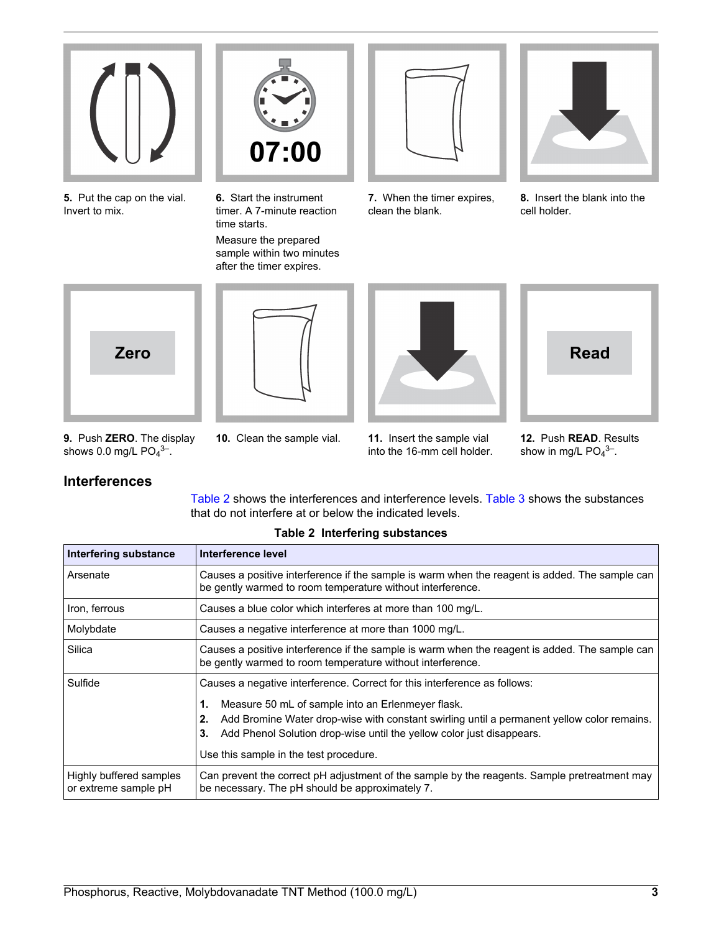

**5.** Put the cap on the vial. Invert to mix.



**6.** Start the instrument timer. A 7-minute reaction time starts. Measure the prepared sample within two minutes after the timer expires.



**7.** When the timer expires, clean the blank.



**8.** Insert the blank into the cell holder.

<span id="page-2-0"></span>







- **9.** Push **ZERO**. The display shows 0.0 mg/L  $PO<sub>4</sub>$ <sup>3–</sup>.
- 
- **10.** Clean the sample vial. **11.** Insert the sample vial into the 16-mm cell holder.

**12.** Push **READ**. Results show in mg/L  $PO<sub>4</sub><sup>3–</sup>$ .

# **Interferences**

[Table 2](#page-2-0) shows the interferences and interference levels. [Table 3](#page-3-0) shows the substances that do not interfere at or below the indicated levels.

| <b>Interfering substance</b>                    | Interference level                                                                                                                                                              |  |
|-------------------------------------------------|---------------------------------------------------------------------------------------------------------------------------------------------------------------------------------|--|
| Arsenate                                        | Causes a positive interference if the sample is warm when the reagent is added. The sample can<br>be gently warmed to room temperature without interference.                    |  |
| Iron, ferrous                                   | Causes a blue color which interferes at more than 100 mg/L.                                                                                                                     |  |
| Molybdate                                       | Causes a negative interference at more than 1000 mg/L.                                                                                                                          |  |
| Silica                                          | Causes a positive interference if the sample is warm when the reagent is added. The sample can<br>be gently warmed to room temperature without interference.                    |  |
| Sulfide                                         | Causes a negative interference. Correct for this interference as follows:                                                                                                       |  |
|                                                 | Measure 50 mL of sample into an Erlenmeyer flask.<br>1.                                                                                                                         |  |
|                                                 | Add Bromine Water drop-wise with constant swirling until a permanent yellow color remains.<br>2.<br>Add Phenol Solution drop-wise until the yellow color just disappears.<br>З. |  |
|                                                 | Use this sample in the test procedure.                                                                                                                                          |  |
| Highly buffered samples<br>or extreme sample pH | Can prevent the correct pH adjustment of the sample by the reagents. Sample pretreatment may<br>be necessary. The pH should be approximately 7.                                 |  |

# **Table 2 Interfering substances**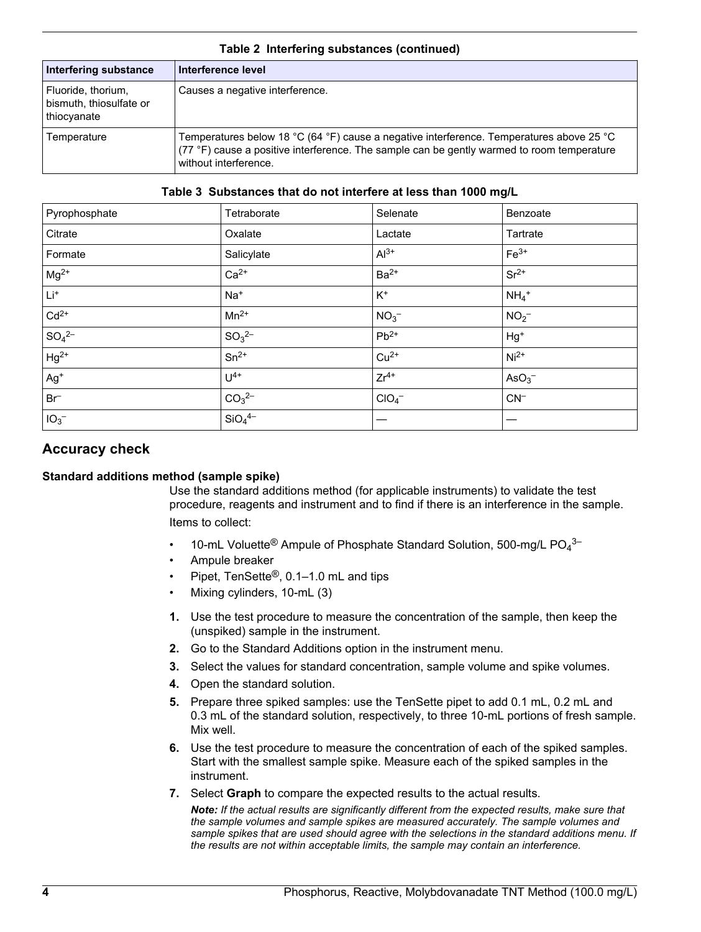| Interfering substance                                        | Interference level                                                                                                                                                                                              |  |
|--------------------------------------------------------------|-----------------------------------------------------------------------------------------------------------------------------------------------------------------------------------------------------------------|--|
| Fluoride, thorium,<br>bismuth, thiosulfate or<br>thiocyanate | Causes a negative interference.                                                                                                                                                                                 |  |
| Temperature                                                  | Temperatures below 18 °C (64 °F) cause a negative interference. Temperatures above 25 °C<br>(77 °F) cause a positive interference. The sample can be gently warmed to room temperature<br>without interference. |  |

## **Table 2 Interfering substances (continued)**

#### **Table 3 Substances that do not interfere at less than 1000 mg/L**

<span id="page-3-0"></span>

| Pyrophosphate   | Tetraborate                    | Selenate         | Benzoate            |
|-----------------|--------------------------------|------------------|---------------------|
| Citrate         | Oxalate                        | Lactate          | Tartrate            |
| Formate         | Salicylate                     | $Al^{3+}$        | $Fe3+$              |
| $Mg^{2+}$       | $Ca2+$                         | $Ba2+$           | $Sr2+$              |
| $Li^{+}$        | $Na+$                          | $\mathsf{K}^+$   | $NH_4$ <sup>+</sup> |
| $Cd2+$          | $Mn^{2+}$                      | NO <sub>3</sub>  | NO <sub>2</sub>     |
| $SO_4^{2-}$     | $SO_3^{2-}$                    | $Pb^{2+}$        | $Hg^+$              |
| $Hg^{2+}$       | $Sn^{2+}$                      | $Cu2+$           | $Ni2+$              |
| $Ag+$           | $U^{4+}$                       | $Zr^{4+}$        | AsO <sub>3</sub>    |
| $Br^-$          | CO <sub>3</sub> <sup>2–</sup>  | ClO <sub>4</sub> | $CN^-$              |
| IO <sub>3</sub> | SiO <sub>4</sub> <sup>4–</sup> |                  |                     |

# **Accuracy check**

### **Standard additions method (sample spike)**

Use the standard additions method (for applicable instruments) to validate the test procedure, reagents and instrument and to find if there is an interference in the sample. Items to collect:

- 10-mL Voluette<sup>®</sup> Ampule of Phosphate Standard Solution, 500-mg/L PO<sub>4</sub><sup>3-</sup>
- Ampule breaker
- Pipet, TenSette®, 0.1–1.0 mL and tips
- Mixing cylinders, 10-mL (3)
- **1.** Use the test procedure to measure the concentration of the sample, then keep the (unspiked) sample in the instrument.
- **2.** Go to the Standard Additions option in the instrument menu.
- **3.** Select the values for standard concentration, sample volume and spike volumes.
- **4.** Open the standard solution.
- **5.** Prepare three spiked samples: use the TenSette pipet to add 0.1 mL, 0.2 mL and 0.3 mL of the standard solution, respectively, to three 10-mL portions of fresh sample. Mix well.
- **6.** Use the test procedure to measure the concentration of each of the spiked samples. Start with the smallest sample spike. Measure each of the spiked samples in the instrument.
- **7.** Select **Graph** to compare the expected results to the actual results.

*Note: If the actual results are significantly different from the expected results, make sure that the sample volumes and sample spikes are measured accurately. The sample volumes and sample spikes that are used should agree with the selections in the standard additions menu. If the results are not within acceptable limits, the sample may contain an interference.*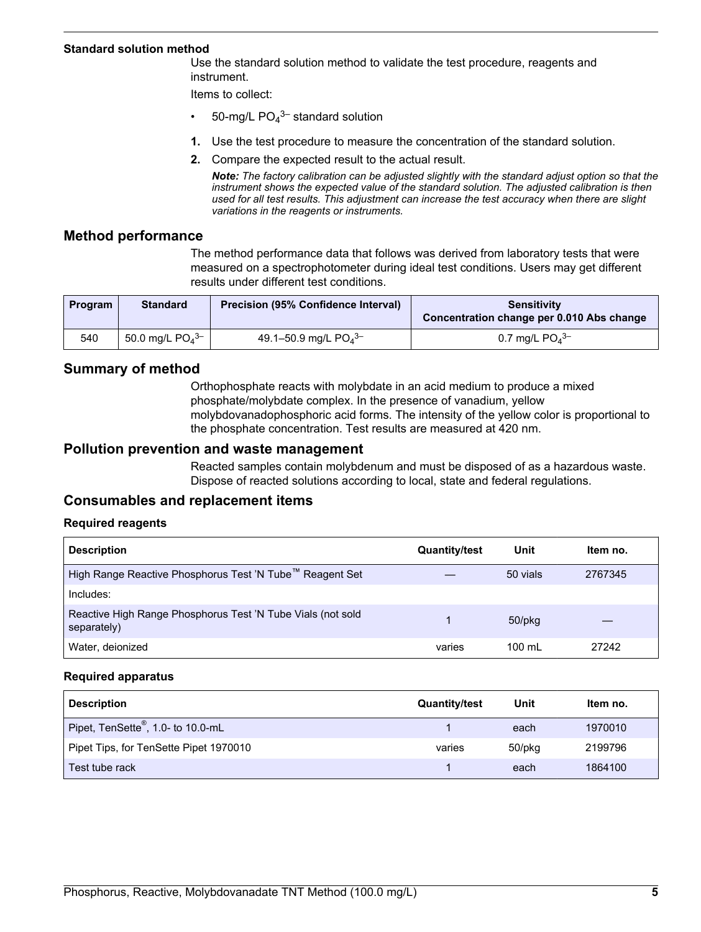#### **Standard solution method**

Use the standard solution method to validate the test procedure, reagents and instrument.

Items to collect:

- 50-mg/L  $PO_4^{3-}$  standard solution
- **1.** Use the test procedure to measure the concentration of the standard solution.
- **2.** Compare the expected result to the actual result.

*Note: The factory calibration can be adjusted slightly with the standard adjust option so that the instrument shows the expected value of the standard solution. The adjusted calibration is then used for all test results. This adjustment can increase the test accuracy when there are slight variations in the reagents or instruments.*

### **Method performance**

The method performance data that follows was derived from laboratory tests that were measured on a spectrophotometer during ideal test conditions. Users may get different results under different test conditions.

| <b>Program</b> | <b>Standard</b>       | <b>Precision (95% Confidence Interval)</b> | <b>Sensitivity</b><br>Concentration change per 0.010 Abs change |
|----------------|-----------------------|--------------------------------------------|-----------------------------------------------------------------|
| 540            | 50.0 mg/L $PO_4^{3-}$ | 49.1-50.9 mg/L $PO_4^{3-}$                 | 0.7 mg/L $PO4$ <sup>3-</sup>                                    |

# **Summary of method**

Orthophosphate reacts with molybdate in an acid medium to produce a mixed phosphate/molybdate complex. In the presence of vanadium, yellow molybdovanadophosphoric acid forms. The intensity of the yellow color is proportional to the phosphate concentration. Test results are measured at 420 nm.

# **Pollution prevention and waste management**

Reacted samples contain molybdenum and must be disposed of as a hazardous waste. Dispose of reacted solutions according to local, state and federal regulations.

# **Consumables and replacement items**

### **Required reagents**

<span id="page-4-0"></span>

| <b>Description</b>                                                         | <b>Quantity/test</b> | Unit             | Item no. |
|----------------------------------------------------------------------------|----------------------|------------------|----------|
| High Range Reactive Phosphorus Test 'N Tube™ Reagent Set                   |                      | 50 vials         | 2767345  |
| Includes:                                                                  |                      |                  |          |
| Reactive High Range Phosphorus Test 'N Tube Vials (not sold<br>separately) |                      | 50/pkg           |          |
| Water, deionized                                                           | varies               | $100 \mathrm{m}$ | 27242    |

#### **Required apparatus**

| <b>Description</b>                             | <b>Quantity/test</b> | Unit   | Item no. |
|------------------------------------------------|----------------------|--------|----------|
| Pipet, TenSette <sup>®</sup> , 1.0- to 10.0-mL |                      | each   | 1970010  |
| Pipet Tips, for TenSette Pipet 1970010         | varies               | 50/pkg | 2199796  |
| Test tube rack                                 |                      | each   | 1864100  |